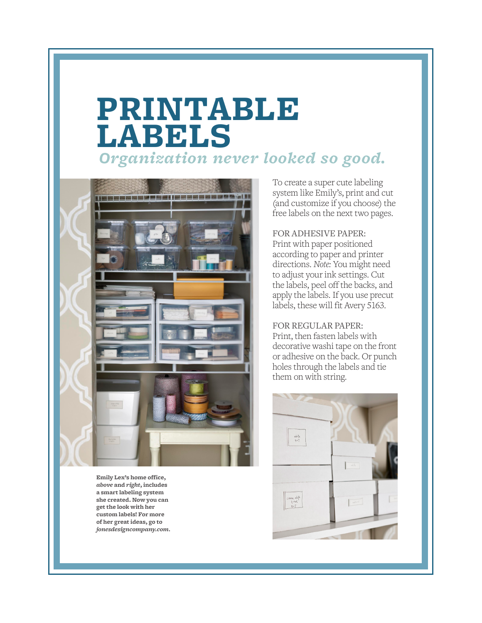## **PRINTABLE LABELS** *Organization never looked so good.*



**Emily Lex's home office,**  *above* **and** *right***, includes a smart labeling system she created. Now you can get the look with her custom labels! For more of her great ideas, go to**  *jonesdesigncompany.com.* To create a super cute labeling system like Emily's, print and cut (and customize if you choose) the free labels on the next two pages.

FOR ADHESIVE PAPER: Print with paper positioned according to paper and printer directions. *Note:* You might need to adjust your ink settings. Cut the labels, peel off the backs, and apply the labels. If you use precut labels, these will fit Avery 5163.

FOR REGULAR PAPER: Print, then fasten labels with decorative washi tape on the front or adhesive on the back. Or punch holes through the labels and tie them on with string.

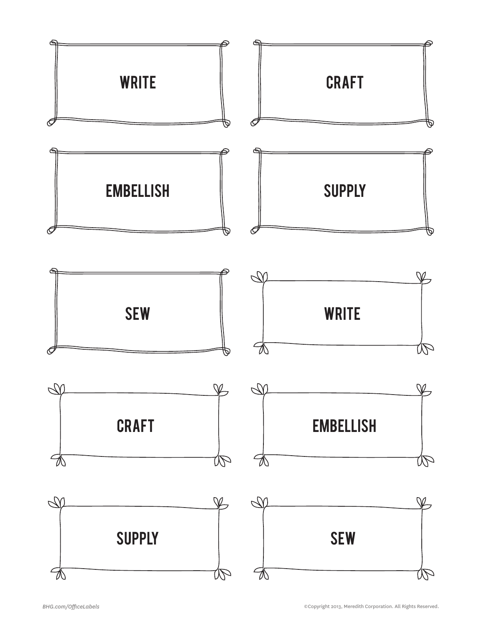